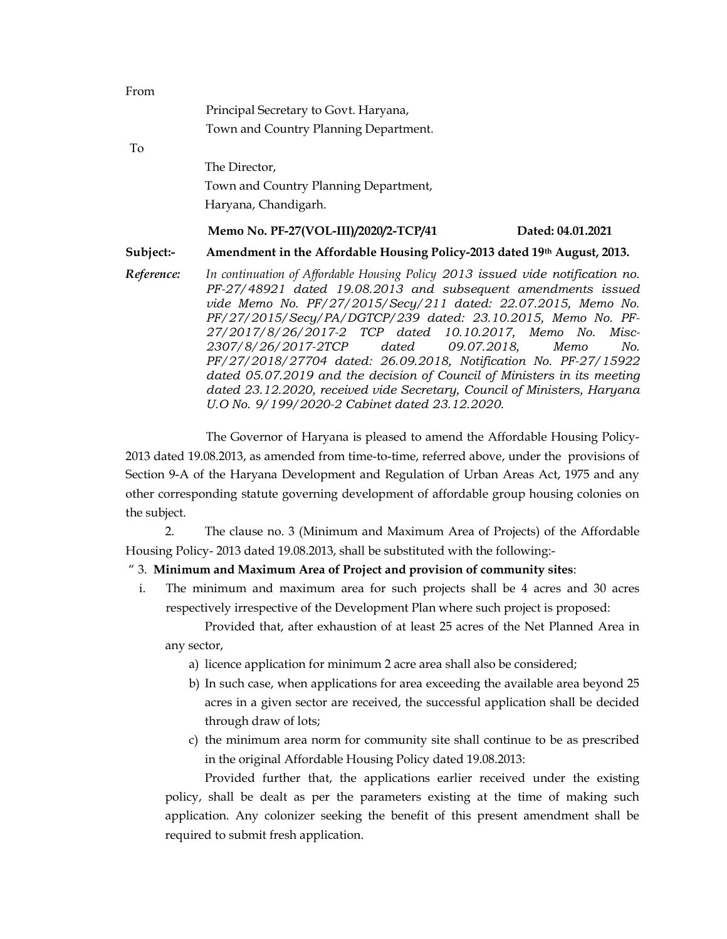| From       |                                                                                                                                                                                                                                                                                                                                                                                                                                                                                                                                                   |
|------------|---------------------------------------------------------------------------------------------------------------------------------------------------------------------------------------------------------------------------------------------------------------------------------------------------------------------------------------------------------------------------------------------------------------------------------------------------------------------------------------------------------------------------------------------------|
|            | Principal Secretary to Govt. Haryana,                                                                                                                                                                                                                                                                                                                                                                                                                                                                                                             |
|            | Town and Country Planning Department.                                                                                                                                                                                                                                                                                                                                                                                                                                                                                                             |
| To         |                                                                                                                                                                                                                                                                                                                                                                                                                                                                                                                                                   |
|            | The Director,                                                                                                                                                                                                                                                                                                                                                                                                                                                                                                                                     |
|            | Town and Country Planning Department,                                                                                                                                                                                                                                                                                                                                                                                                                                                                                                             |
|            | Haryana, Chandigarh.                                                                                                                                                                                                                                                                                                                                                                                                                                                                                                                              |
|            | Memo No. PF-27(VOL-III)/2020/2-TCP/41<br>Dated: 04.01.2021                                                                                                                                                                                                                                                                                                                                                                                                                                                                                        |
| Subject:-  | Amendment in the Affordable Housing Policy-2013 dated 19th August, 2013.                                                                                                                                                                                                                                                                                                                                                                                                                                                                          |
| Reference: | In continuation of Affordable Housing Policy 2013 issued vide notification no.<br>PF-27/48921 dated 19.08.2013 and subsequent amendments issued<br>vide Memo No. PF/27/2015/Secy/211 dated: 22.07.2015, Memo No.<br>PF/27/2015/Secy/PA/DGTCP/239 dated: 23.10.2015, Memo No. PF-<br>27/2017/8/26/2017-2 TCP dated 10.10.2017, Memo No. Misc-<br>2307/8/26/2017-2TCP dated 09.07.2018, Memo<br>No.<br>PF/27/2018/27704 dated: 26.09.2018, Notification No. PF-27/15922<br>dated 05.07.2019 and the decision of Council of Ministers in its meeting |

The Governor of Haryana is pleased to amend the Affordable Housing Policy-2013 dated 19.08.2013, as amended from time-to-time, referred above, under the provisions of Section 9-A of the Haryana Development and Regulation of Urban Areas Act, 1975 and any other corresponding statute governing development of affordable group housing colonies on the subject.

dated 23.12.2020, received vide Secretary, Council of Ministers, Haryana

2. The clause no. 3 (Minimum and Maximum Area of Projects) of the Affordable Housing Policy- 2013 dated 19.08.2013, shall be substituted with the following:-

## " 3. Minimum and Maximum Area of Project and provision of community sites:

U.O No. 9/199/2020-2 Cabinet dated 23.12.2020.

i. The minimum and maximum area for such projects shall be 4 acres and 30 acres respectively irrespective of the Development Plan where such project is proposed:

Provided that, after exhaustion of at least 25 acres of the Net Planned Area in any sector,

- a) licence application for minimum 2 acre area shall also be considered;
- b) In such case, when applications for area exceeding the available area beyond 25 acres in a given sector are received, the successful application shall be decided through draw of lots;
- c) the minimum area norm for community site shall continue to be as prescribed in the original Affordable Housing Policy dated 19.08.2013:

Provided further that, the applications earlier received under the existing policy, shall be dealt as per the parameters existing at the time of making such application. Any colonizer seeking the benefit of this present amendment shall be required to submit fresh application.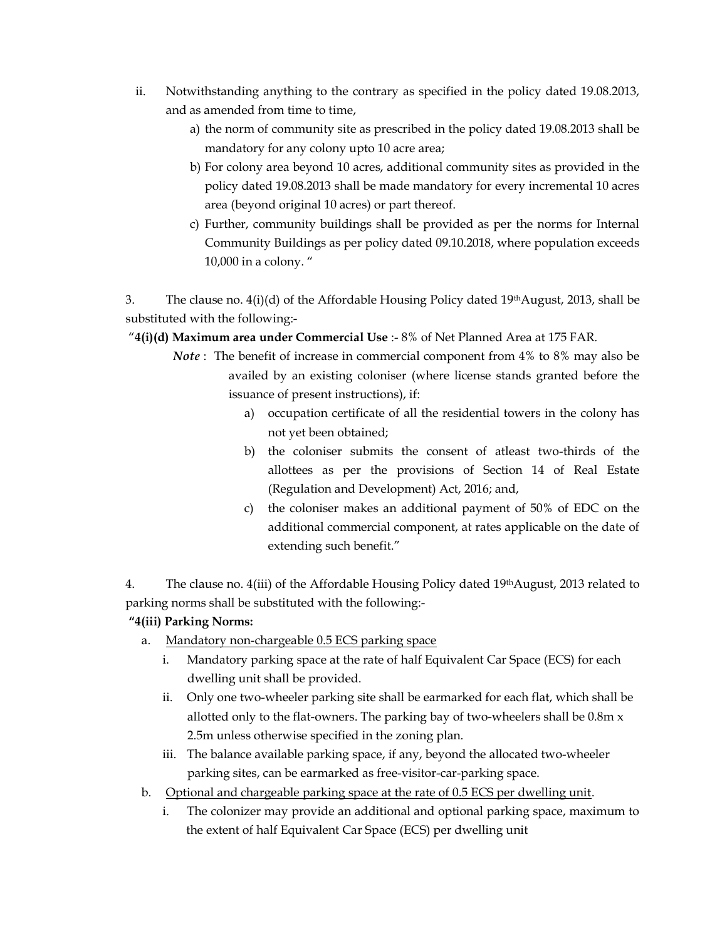- ii. Notwithstanding anything to the contrary as specified in the policy dated 19.08.2013, and as amended from time to time,
	- a) the norm of community site as prescribed in the policy dated 19.08.2013 shall be mandatory for any colony upto 10 acre area;
	- b) For colony area beyond 10 acres, additional community sites as provided in the policy dated 19.08.2013 shall be made mandatory for every incremental 10 acres area (beyond original 10 acres) or part thereof.
	- c) Further, community buildings shall be provided as per the norms for Internal Community Buildings as per policy dated 09.10.2018, where population exceeds 10,000 in a colony. "

3. The clause no.  $4(i)(d)$  of the Affordable Housing Policy dated 19<sup>th</sup> August, 2013, shall be substituted with the following:-

" $4(i)(d)$  Maximum area under Commercial Use :- 8% of Net Planned Area at 175 FAR.

- Note : The benefit of increase in commercial component from 4% to 8% may also be availed by an existing coloniser (where license stands granted before the issuance of present instructions), if:
	- a) occupation certificate of all the residential towers in the colony has not yet been obtained;
	- b) the coloniser submits the consent of atleast two-thirds of the allottees as per the provisions of Section 14 of Real Estate (Regulation and Development) Act, 2016; and,
	- c) the coloniser makes an additional payment of 50% of EDC on the additional commercial component, at rates applicable on the date of extending such benefit."

4. The clause no. 4(iii) of the Affordable Housing Policy dated 19thAugust, 2013 related to parking norms shall be substituted with the following:-

## "4(iii) Parking Norms:

- a. Mandatory non-chargeable 0.5 ECS parking space
	- i. Mandatory parking space at the rate of half Equivalent Car Space (ECS) for each dwelling unit shall be provided.
	- ii. Only one two-wheeler parking site shall be earmarked for each flat, which shall be allotted only to the flat-owners. The parking bay of two-wheelers shall be 0.8m x 2.5m unless otherwise specified in the zoning plan.
	- iii. The balance available parking space, if any, beyond the allocated two-wheeler parking sites, can be earmarked as free-visitor-car-parking space.
- b. Optional and chargeable parking space at the rate of 0.5 ECS per dwelling unit.
	- i. The colonizer may provide an additional and optional parking space, maximum to the extent of half Equivalent Car Space (ECS) per dwelling unit